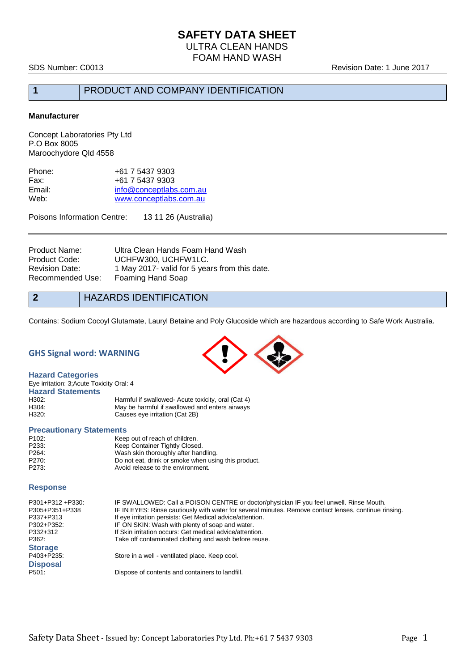SDS Number: C0013 Revision Date: 1 June 2017

# **1** PRODUCT AND COMPANY IDENTIFICATION

#### **Manufacturer**

Concept Laboratories Pty Ltd P.O Box 8005 Maroochydore Qld 4558

| Phone: | +61 7 5437 9303         |
|--------|-------------------------|
| Fax:   | +61 7 5437 9303         |
| Email: | info@conceptlabs.com.au |
| Web:   | www.conceptlabs.com.au  |
|        |                         |

Poisons Information Centre: 13 11 26 (Australia)

| Ultra Clean Hands Foam Hand Wash              |
|-----------------------------------------------|
| UCHFW300, UCHFW1LC.                           |
| 1 May 2017- valid for 5 years from this date. |
| Foaming Hand Soap                             |
|                                               |

# **2** HAZARDS IDENTIFICATION

Contains: Sodium Cocoyl Glutamate, Lauryl Betaine and Poly Glucoside which are hazardous according to Safe Work Australia.

#### **GHS Signal word: WARNING**

**Hazard Categories** Eye irritation: 3;Acute Toxicity Oral: 4 **Hazard Statements** H302: Harmful if swallowed- Acute toxicity, oral (Cat 4)<br>H304: H304: May be harmful if swallowed and enters airways H304: May be harmful if swallowed and enters airways<br>
H320: Causes eve irritation (Cat 2B) Causes eye irritation (Cat 2B)

#### **Precautionary Statements**

| P <sub>102</sub> : | Keep out of reach of children.                      |
|--------------------|-----------------------------------------------------|
| P233:              | Keep Container Tightly Closed.                      |
| P264:              | Wash skin thoroughly after handling.                |
| P270:              | Do not eat, drink or smoke when using this product. |
| P273:              | Avoid release to the environment.                   |

#### **Response**

| P301+P312 +P330: | IF SWALLOWED: Call a POISON CENTRE or doctor/physician IF you feel unwell. Rinse Mouth.               |
|------------------|-------------------------------------------------------------------------------------------------------|
| P305+P351+P338   | IF IN EYES: Rinse cautiously with water for several minutes. Remove contact lenses, continue rinsing. |
| P337+P313        | If eye irritation persists: Get Medical advice/attention.                                             |
| P302+P352:       | IF ON SKIN: Wash with plenty of soap and water.                                                       |
| P332+312         | If Skin irritation occurs: Get medical advice/attention.                                              |
| P362:            | Take off contaminated clothing and wash before reuse.                                                 |
| <b>Storage</b>   |                                                                                                       |
| P403+P235:       | Store in a well - ventilated place. Keep cool.                                                        |
| <b>Disposal</b>  |                                                                                                       |
| P501:            | Dispose of contents and containers to landfill.                                                       |

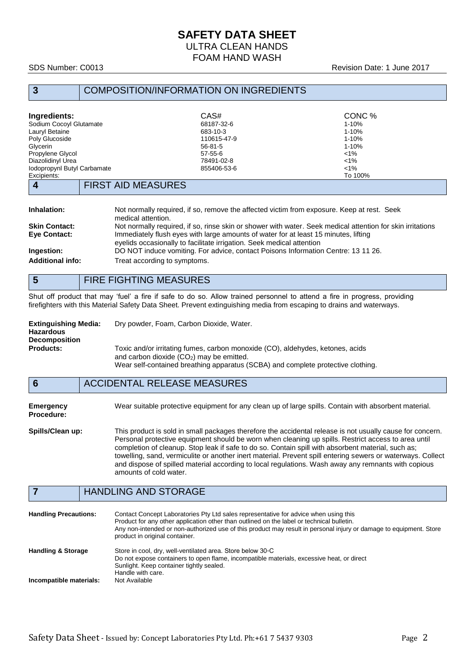# **SAFETY DATA SHEET** ULTRA CLEAN HANDS

FOAM HAND WASH

### SDS Number: C0013 Revision Date: 1 June 2017

# **3** COMPOSITION/INFORMATION ON INGREDIENTS

| Ingredients:                | CAS#          | CONC %    |
|-----------------------------|---------------|-----------|
| Sodium Cocoyl Glutamate     | 68187-32-6    | $1 - 10%$ |
| Lauryl Betaine              | 683-10-3      | $1 - 10%$ |
| Poly Glucoside              | 110615-47-9   | $1 - 10%$ |
| Glycerin                    | $56-81-5$     | $1 - 10%$ |
| Propylene Glycol            | $57 - 55 - 6$ | $< 1\%$   |
| Diazolidinyl Urea           | 78491-02-8    | $1\%$     |
| Iodopropynl Butyl Carbamate | 855406-53-6   | $< 1\%$   |
| Excipients:                 |               | To 100%   |
| <b>FIRST AID MEASHRES</b>   |               |           |

#### **4** FIRST AID MEASURES

| Inhalation:             | Not normally required, if so, remove the affected victim from exposure. Keep at rest. Seek                 |
|-------------------------|------------------------------------------------------------------------------------------------------------|
|                         | medical attention.                                                                                         |
| <b>Skin Contact:</b>    | Not normally required, if so, rinse skin or shower with water. Seek medical attention for skin irritations |
| Eye Contact:            | Immediately flush eyes with large amounts of water for at least 15 minutes, lifting                        |
|                         | eyelids occasionally to facilitate irrigation. Seek medical attention                                      |
| Ingestion:              | DO NOT induce vomiting. For advice, contact Poisons Information Centre: 13 11 26.                          |
| <b>Additional info:</b> | Treat according to symptoms.                                                                               |
|                         |                                                                                                            |

# **5** FIRE FIGHTING MEASURES

Shut off product that may 'fuel' a fire if safe to do so. Allow trained personnel to attend a fire in progress, providing firefighters with this Material Safety Data Sheet. Prevent extinguishing media from escaping to drains and waterways.

| <b>Extinguishing Media:</b><br><b>Hazardous</b> | Dry powder, Foam, Carbon Dioxide, Water.                                         |
|-------------------------------------------------|----------------------------------------------------------------------------------|
|                                                 |                                                                                  |
| <b>Decomposition</b>                            |                                                                                  |
| <b>Products:</b>                                | Toxic and/or irritating fumes, carbon monoxide (CO), aldehydes, ketones, acids   |
|                                                 | and carbon dioxide $(CO2)$ may be emitted.                                       |
|                                                 | Wear self-contained breathing apparatus (SCBA) and complete protective clothing. |

#### **6** ACCIDENTAL RELEASE MEASURES

**Emergency** Wear suitable protective equipment for any clean up of large spills. Contain with absorbent material. **Procedure:**

**Spills/Clean up:** This product is sold in small packages therefore the accidental release is not usually cause for concern. Personal protective equipment should be worn when cleaning up spills. Restrict access to area until completion of cleanup. Stop leak if safe to do so. Contain spill with absorbent material, such as; towelling, sand, vermiculite or another inert material. Prevent spill entering sewers or waterways. Collect and dispose of spilled material according to local regulations. Wash away any remnants with copious amounts of cold water.

# **7** HANDLING AND STORAGE

| <b>Handling Precautions:</b>  | Contact Concept Laboratories Pty Ltd sales representative for advice when using this<br>Product for any other application other than outlined on the label or technical bulletin.<br>Any non-intended or non-authorized use of this product may result in personal injury or damage to equipment. Store<br>product in original container. |
|-------------------------------|-------------------------------------------------------------------------------------------------------------------------------------------------------------------------------------------------------------------------------------------------------------------------------------------------------------------------------------------|
| <b>Handling &amp; Storage</b> | Store in cool, dry, well-ventilated area. Store below 30 °C<br>Do not expose containers to open flame, incompatible materials, excessive heat, or direct<br>Sunlight. Keep container tightly sealed.<br>Handle with care.                                                                                                                 |
| Incompatible materials:       | Not Available                                                                                                                                                                                                                                                                                                                             |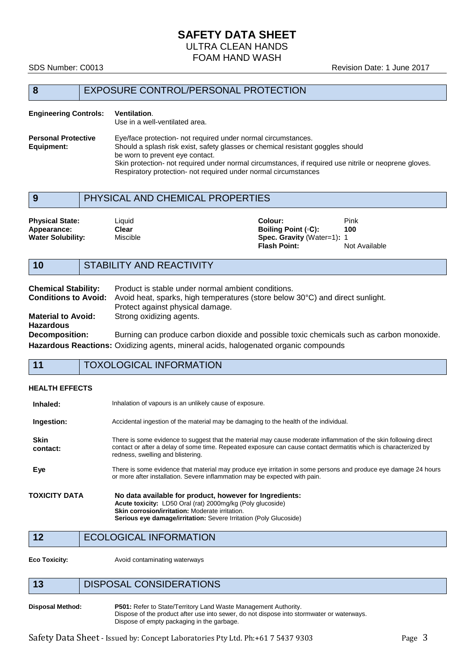# **SAFETY DATA SHEET**

ULTRA CLEAN HANDS

FOAM HAND WASH

#### SDS Number: C0013 **Revision Date: 1 June 2017**

# **8** EXPOSURE CONTROL/PERSONAL PROTECTION

#### **Engineering Controls: Ventilation**. Use in a well-ventilated area. **Personal Protective** Eye/face protection- not required under normal circumstances.<br> **Equipment:** Should a splash risk exist, safety glasses or chemical resistant Should a splash risk exist, safety glasses or chemical resistant goggles should be worn to prevent eye contact. Skin protection- not required under normal circumstances, if required use nitrile or neoprene gloves. Respiratory protection- not required under normal circumstances

# **9** PHYSICAL AND CHEMICAL PROPERTIES

| <b>Physical State:</b>   | ∟iquid   | Pink<br>Colour:                   |               |
|--------------------------|----------|-----------------------------------|---------------|
| Appearance:              | Clear    | Boiling Point (∘C):<br>100        |               |
| <b>Water Solubility:</b> | Miscible | <b>Spec. Gravity</b> (Water=1): 1 |               |
|                          |          | <b>Flash Point:</b>               | Not Available |

# **10** STABILITY AND REACTIVITY

| <b>Chemical Stability:</b>  | Product is stable under normal ambient conditions.                                         |
|-----------------------------|--------------------------------------------------------------------------------------------|
| <b>Conditions to Avoid:</b> | Avoid heat, sparks, high temperatures (store below 30°C) and direct sunlight.              |
|                             | Protect against physical damage.                                                           |
| <b>Material to Avoid:</b>   | Strong oxidizing agents.                                                                   |
| <b>Hazardous</b>            |                                                                                            |
| <b>Decomposition:</b>       | Burning can produce carbon dioxide and possible toxic chemicals such as carbon monoxide.   |
|                             | <b>Hazardous Reactions:</b> Oxidizing agents, mineral acids, halogenated organic compounds |

# **11** TOXOLOGICAL INFORMATION

#### **HEALTH EFFECTS**

| Inhaled:                | Inhalation of vapours is an unlikely cause of exposure.                                                                                                                                                                                                                  |
|-------------------------|--------------------------------------------------------------------------------------------------------------------------------------------------------------------------------------------------------------------------------------------------------------------------|
| Ingestion:              | Accidental ingestion of the material may be damaging to the health of the individual.                                                                                                                                                                                    |
| <b>Skin</b><br>contact: | There is some evidence to suggest that the material may cause moderate inflammation of the skin following direct<br>contact or after a delay of some time. Repeated exposure can cause contact dermatitis which is characterized by<br>redness, swelling and blistering. |
| Eye                     | There is some evidence that material may produce eye irritation in some persons and produce eye damage 24 hours<br>or more after installation. Severe inflammation may be expected with pain.                                                                            |
| TOXICITY DATA           | No data available for product, however for Ingredients:<br>Acute toxicity: LD50 Oral (rat) 2000mg/kg (Poly glucoside)<br>Skin corrosion/irritation: Moderate irritation.<br><b>Serious eye damage/irritation:</b> Severe Irritation (Poly Glucoside)                     |
| 12                      | <b>ECOLOGICAL INFORMATION</b>                                                                                                                                                                                                                                            |

**Eco Toxicity:** Avoid contaminating waterways

# **13** DISPOSAL CONSIDERATIONS

**Disposal Method: P501:** Refer to State/Territory Land Waste Management Authority. Dispose of the product after use into sewer, do not dispose into stormwater or waterways. Dispose of empty packaging in the garbage.